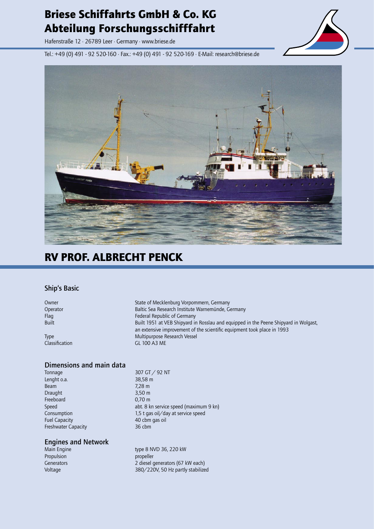## Briese Schiffahrts GmbH & Co. KG Abteilung Forschungsschifffahrt

Hafenstraße 12 · 26789 Leer · Germany · www.briese.de

Tel.: +49 (0) 491 - 92 520-160 · Fax.: +49 (0) 491 - 92 520-169 · E-Mail: research@briese.de





## RV PROF. ALBRECHT PENCK

#### **Ship's Basic**

Owner State of Mecklenburg Vorpommern, Germany Operator Baltic Sea Research Institute Warnemünde, Germany Flag Federal Republic of Germany Built Built 1951 at VEB Shipyard in Rosslau and equipped in the Peene Shipyard in Wolgast, an extensive improvement of the scientific equipment took place in 1993 Type **Multipurpose Research Vessel** Classification GL 100 A3 ME

#### **Dimensions and main data**

Tonnage 307 GT / 92 NT Lenght o.a. 38,58 m Beam 7,28 m Draught 3,50 m Freeboard 0,70 m Fuel Capacity **40 cbm** gas oil Freshwater Capacity **36 cbm** 

# **Engines and Network**

Propulsion **propeller** 

Speed abt. 8 kn service speed (maximum 9 kn) Consumption 1,5 t gas oil/day at service speed

type 8 NVD 36, 220 kW Generators **2** diesel generators (67 kW each) Voltage 380/220V, 50 Hz partly stabilized